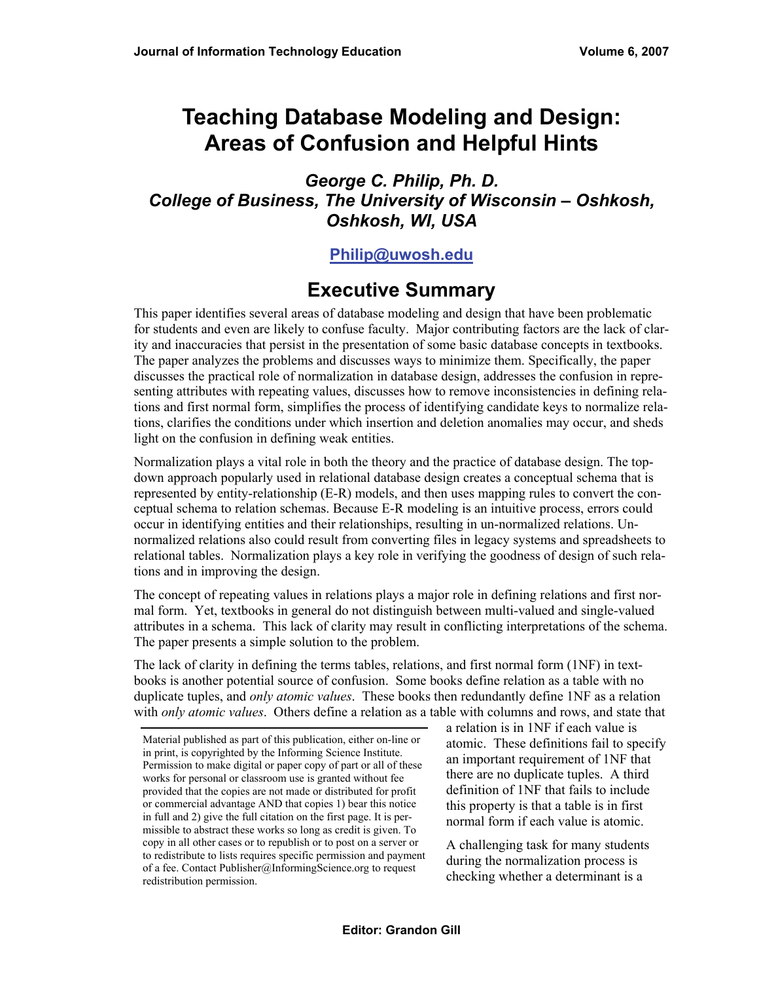# **Teaching Database Modeling and Design: Areas of Confusion and Helpful Hints**

#### *George C. Philip, Ph. D. College of Business, The University of Wisconsin – Oshkosh, Oshkosh, WI, USA*

#### **[Philip@uwosh.edu](mailto:Philip@uwosh.edu)**

# **Executive Summary**

This paper identifies several areas of database modeling and design that have been problematic for students and even are likely to confuse faculty. Major contributing factors are the lack of clarity and inaccuracies that persist in the presentation of some basic database concepts in textbooks. The paper analyzes the problems and discusses ways to minimize them. Specifically, the paper discusses the practical role of normalization in database design, addresses the confusion in representing attributes with repeating values, discusses how to remove inconsistencies in defining relations and first normal form, simplifies the process of identifying candidate keys to normalize relations, clarifies the conditions under which insertion and deletion anomalies may occur, and sheds light on the confusion in defining weak entities.

Normalization plays a vital role in both the theory and the practice of database design. The topdown approach popularly used in relational database design creates a conceptual schema that is represented by entity-relationship (E-R) models, and then uses mapping rules to convert the conceptual schema to relation schemas. Because E-R modeling is an intuitive process, errors could occur in identifying entities and their relationships, resulting in un-normalized relations. Unnormalized relations also could result from converting files in legacy systems and spreadsheets to relational tables. Normalization plays a key role in verifying the goodness of design of such relations and in improving the design.

The concept of repeating values in relations plays a major role in defining relations and first normal form. Yet, textbooks in general do not distinguish between multi-valued and single-valued attributes in a schema. This lack of clarity may result in conflicting interpretations of the schema. The paper presents a simple solution to the problem.

The lack of clarity in defining the terms tables, relations, and first normal form (1NF) in textbooks is another potential source of confusion. Some books define relation as a table with no duplicate tuples, and *only atomic values*. These books then redundantly define 1NF as a relation with *only atomic values*. Others define a relation as a table with columns and rows, and state that

a relation is in 1NF if each value is atomic. These definitions fail to specify an important requirement of 1NF that there are no duplicate tuples. A third definition of 1NF that fails to include this property is that a table is in first normal form if each value is atomic.

A challenging task for many students during the normalization process is checking whether a determinant is a

Material published as part of this publication, either on-line or in print, is copyrighted by the Informing Science Institute. Permission to make digital or paper copy of part or all of these works for personal or classroom use is granted without fee provided that the copies are not made or distributed for profit or commercial advantage AND that copies 1) bear this notice in full and 2) give the full citation on the first page. It is permissible to abstract these works so long as credit is given. To copy in all other cases or to republish or to post on a server or to redistribute to lists requires specific permission and payment of a fee. Contact Publisher@InformingScience.org to request redistribution permission.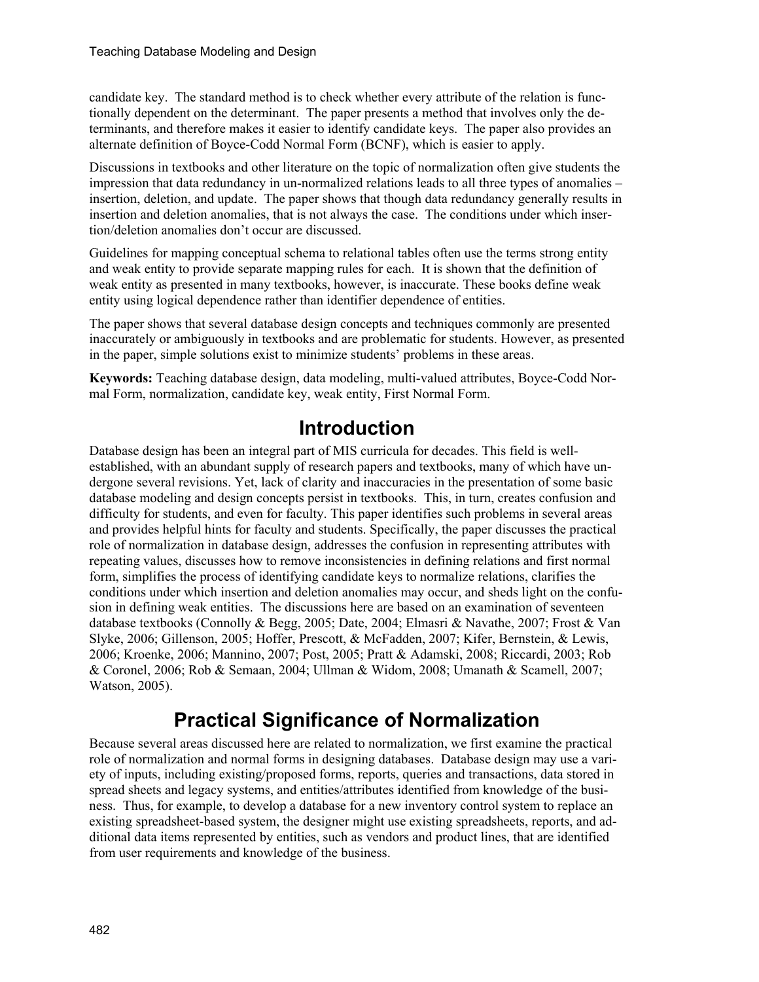candidate key. The standard method is to check whether every attribute of the relation is functionally dependent on the determinant. The paper presents a method that involves only the determinants, and therefore makes it easier to identify candidate keys. The paper also provides an alternate definition of Boyce-Codd Normal Form (BCNF), which is easier to apply.

Discussions in textbooks and other literature on the topic of normalization often give students the impression that data redundancy in un-normalized relations leads to all three types of anomalies – insertion, deletion, and update. The paper shows that though data redundancy generally results in insertion and deletion anomalies, that is not always the case. The conditions under which insertion/deletion anomalies don't occur are discussed.

Guidelines for mapping conceptual schema to relational tables often use the terms strong entity and weak entity to provide separate mapping rules for each. It is shown that the definition of weak entity as presented in many textbooks, however, is inaccurate. These books define weak entity using logical dependence rather than identifier dependence of entities.

The paper shows that several database design concepts and techniques commonly are presented inaccurately or ambiguously in textbooks and are problematic for students. However, as presented in the paper, simple solutions exist to minimize students' problems in these areas.

**Keywords:** Teaching database design, data modeling, multi-valued attributes, Boyce-Codd Normal Form, normalization, candidate key, weak entity, First Normal Form.

## **Introduction**

Database design has been an integral part of MIS curricula for decades. This field is wellestablished, with an abundant supply of research papers and textbooks, many of which have undergone several revisions. Yet, lack of clarity and inaccuracies in the presentation of some basic database modeling and design concepts persist in textbooks. This, in turn, creates confusion and difficulty for students, and even for faculty. This paper identifies such problems in several areas and provides helpful hints for faculty and students. Specifically, the paper discusses the practical role of normalization in database design, addresses the confusion in representing attributes with repeating values, discusses how to remove inconsistencies in defining relations and first normal form, simplifies the process of identifying candidate keys to normalize relations, clarifies the conditions under which insertion and deletion anomalies may occur, and sheds light on the confusion in defining weak entities. The discussions here are based on an examination of seventeen database textbooks (Connolly & Begg, 2005; Date, 2004; Elmasri & Navathe, 2007; Frost & Van Slyke, 2006; Gillenson, 2005; Hoffer, Prescott, & McFadden, 2007; Kifer, Bernstein, & Lewis, 2006; Kroenke, 2006; Mannino, 2007; Post, 2005; Pratt & Adamski, 2008; Riccardi, 2003; Rob & Coronel, 2006; Rob & Semaan, 2004; Ullman & Widom, 2008; Umanath & Scamell, 2007; Watson, 2005).

# **Practical Significance of Normalization**

Because several areas discussed here are related to normalization, we first examine the practical role of normalization and normal forms in designing databases. Database design may use a variety of inputs, including existing/proposed forms, reports, queries and transactions, data stored in spread sheets and legacy systems, and entities/attributes identified from knowledge of the business. Thus, for example, to develop a database for a new inventory control system to replace an existing spreadsheet-based system, the designer might use existing spreadsheets, reports, and additional data items represented by entities, such as vendors and product lines, that are identified from user requirements and knowledge of the business.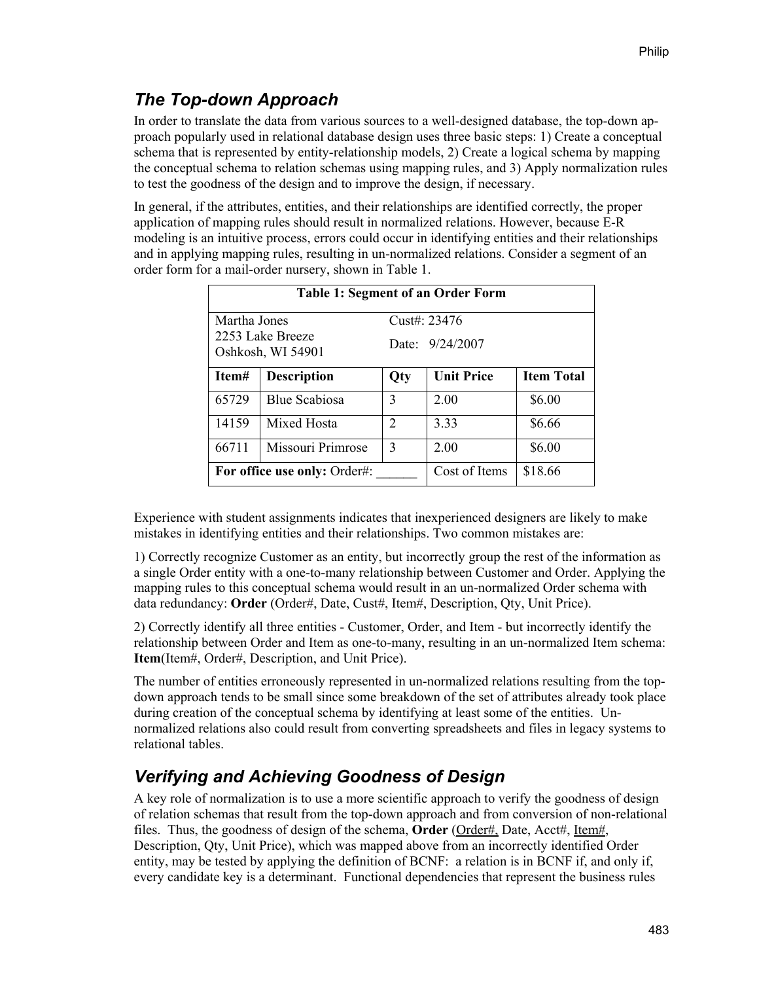### *The Top-down Approach*

In order to translate the data from various sources to a well-designed database, the top-down approach popularly used in relational database design uses three basic steps: 1) Create a conceptual schema that is represented by entity-relationship models, 2) Create a logical schema by mapping the conceptual schema to relation schemas using mapping rules, and 3) Apply normalization rules to test the goodness of the design and to improve the design, if necessary.

In general, if the attributes, entities, and their relationships are identified correctly, the proper application of mapping rules should result in normalized relations. However, because E-R modeling is an intuitive process, errors could occur in identifying entities and their relationships and in applying mapping rules, resulting in un-normalized relations. Consider a segment of an order form for a mail-order nursery, shown in Table 1.

| <b>Table 1: Segment of an Order Form</b> |                      |                 |                   |                   |  |  |
|------------------------------------------|----------------------|-----------------|-------------------|-------------------|--|--|
| Martha Jones                             |                      |                 | Cust#: 23476      |                   |  |  |
| 2253 Lake Breeze<br>Oshkosh, WI 54901    |                      | Date: 9/24/2007 |                   |                   |  |  |
| Item#                                    | <b>Description</b>   | Qty             | <b>Unit Price</b> | <b>Item Total</b> |  |  |
| 65729                                    | <b>Blue Scabiosa</b> | 3               | 2.00              | \$6.00            |  |  |
| 14159                                    | Mixed Hosta          | 2               | 333               | \$6.66            |  |  |
| 66711                                    | Missouri Primrose    | 3               | 2.00              | \$6.00            |  |  |
| For office use only: Order#:             |                      |                 | Cost of Items     | \$18.66           |  |  |

Experience with student assignments indicates that inexperienced designers are likely to make mistakes in identifying entities and their relationships. Two common mistakes are:

1) Correctly recognize Customer as an entity, but incorrectly group the rest of the information as a single Order entity with a one-to-many relationship between Customer and Order. Applying the mapping rules to this conceptual schema would result in an un-normalized Order schema with data redundancy: **Order** (Order#, Date, Cust#, Item#, Description, Qty, Unit Price).

2) Correctly identify all three entities - Customer, Order, and Item - but incorrectly identify the relationship between Order and Item as one-to-many, resulting in an un-normalized Item schema: **Item**(Item#, Order#, Description, and Unit Price).

The number of entities erroneously represented in un-normalized relations resulting from the topdown approach tends to be small since some breakdown of the set of attributes already took place during creation of the conceptual schema by identifying at least some of the entities. Unnormalized relations also could result from converting spreadsheets and files in legacy systems to relational tables.

## *Verifying and Achieving Goodness of Design*

A key role of normalization is to use a more scientific approach to verify the goodness of design of relation schemas that result from the top-down approach and from conversion of non-relational files. Thus, the goodness of design of the schema, **Order** (Order#, Date, Acct#, Item#, Description, Qty, Unit Price), which was mapped above from an incorrectly identified Order entity, may be tested by applying the definition of BCNF: a relation is in BCNF if, and only if, every candidate key is a determinant. Functional dependencies that represent the business rules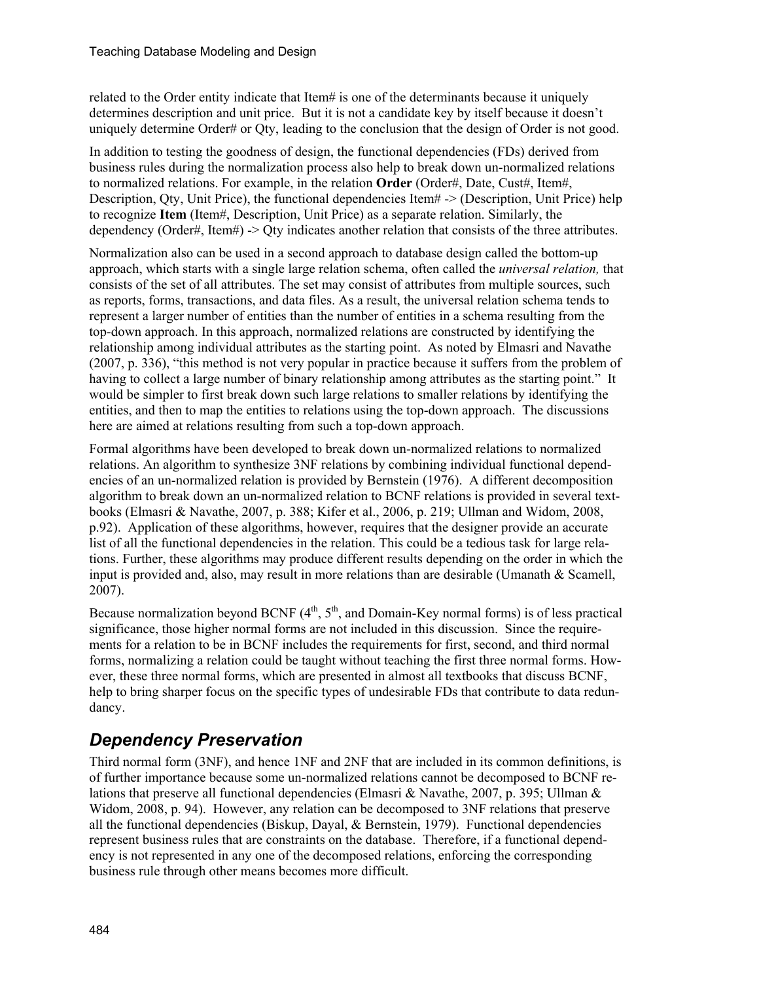related to the Order entity indicate that Item# is one of the determinants because it uniquely determines description and unit price. But it is not a candidate key by itself because it doesn't uniquely determine Order# or Qty, leading to the conclusion that the design of Order is not good.

In addition to testing the goodness of design, the functional dependencies (FDs) derived from business rules during the normalization process also help to break down un-normalized relations to normalized relations. For example, in the relation **Order** (Order#, Date, Cust#, Item#, Description, Qty, Unit Price), the functional dependencies Item# -> (Description, Unit Price) help to recognize **Item** (Item#, Description, Unit Price) as a separate relation. Similarly, the dependency (Order#, Item#) -> Qty indicates another relation that consists of the three attributes.

Normalization also can be used in a second approach to database design called the bottom-up approach, which starts with a single large relation schema, often called the *universal relation,* that consists of the set of all attributes. The set may consist of attributes from multiple sources, such as reports, forms, transactions, and data files. As a result, the universal relation schema tends to represent a larger number of entities than the number of entities in a schema resulting from the top-down approach. In this approach, normalized relations are constructed by identifying the relationship among individual attributes as the starting point. As noted by Elmasri and Navathe (2007, p. 336), "this method is not very popular in practice because it suffers from the problem of having to collect a large number of binary relationship among attributes as the starting point." It would be simpler to first break down such large relations to smaller relations by identifying the entities, and then to map the entities to relations using the top-down approach. The discussions here are aimed at relations resulting from such a top-down approach.

Formal algorithms have been developed to break down un-normalized relations to normalized relations. An algorithm to synthesize 3NF relations by combining individual functional dependencies of an un-normalized relation is provided by Bernstein (1976). A different decomposition algorithm to break down an un-normalized relation to BCNF relations is provided in several textbooks (Elmasri & Navathe, 2007, p. 388; Kifer et al., 2006, p. 219; Ullman and Widom, 2008, p.92). Application of these algorithms, however, requires that the designer provide an accurate list of all the functional dependencies in the relation. This could be a tedious task for large relations. Further, these algorithms may produce different results depending on the order in which the input is provided and, also, may result in more relations than are desirable (Umanath  $\&$  Scamell, 2007).

Because normalization beyond BCNF  $(4<sup>th</sup>, 5<sup>th</sup>,$  and Domain-Key normal forms) is of less practical significance, those higher normal forms are not included in this discussion. Since the requirements for a relation to be in BCNF includes the requirements for first, second, and third normal forms, normalizing a relation could be taught without teaching the first three normal forms. However, these three normal forms, which are presented in almost all textbooks that discuss BCNF, help to bring sharper focus on the specific types of undesirable FDs that contribute to data redundancy.

### *Dependency Preservation*

Third normal form (3NF), and hence 1NF and 2NF that are included in its common definitions, is of further importance because some un-normalized relations cannot be decomposed to BCNF relations that preserve all functional dependencies (Elmasri & Navathe, 2007, p. 395; Ullman & Widom, 2008, p. 94). However, any relation can be decomposed to 3NF relations that preserve all the functional dependencies (Biskup, Dayal, & Bernstein, 1979). Functional dependencies represent business rules that are constraints on the database. Therefore, if a functional dependency is not represented in any one of the decomposed relations, enforcing the corresponding business rule through other means becomes more difficult.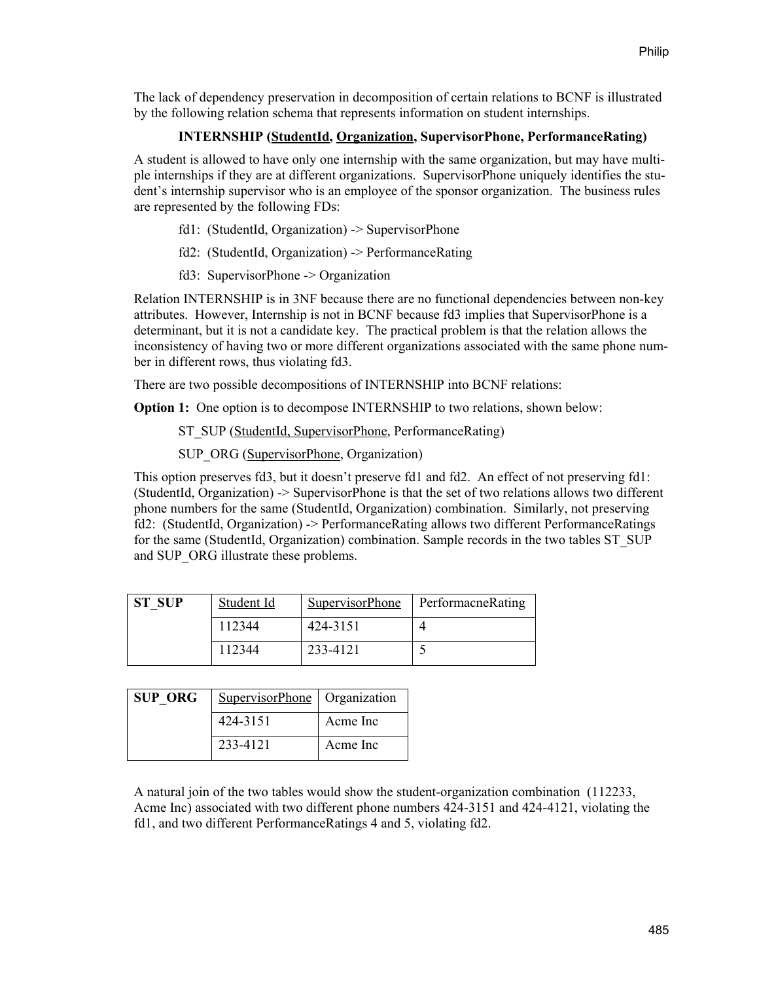The lack of dependency preservation in decomposition of certain relations to BCNF is illustrated by the following relation schema that represents information on student internships.

#### **INTERNSHIP (StudentId, Organization, SupervisorPhone, PerformanceRating)**

A student is allowed to have only one internship with the same organization, but may have multiple internships if they are at different organizations. SupervisorPhone uniquely identifies the student's internship supervisor who is an employee of the sponsor organization. The business rules are represented by the following FDs:

- fd1: (StudentId, Organization) -> SupervisorPhone
- fd2: (StudentId, Organization) -> PerformanceRating
- fd3: SupervisorPhone -> Organization

Relation INTERNSHIP is in 3NF because there are no functional dependencies between non-key attributes. However, Internship is not in BCNF because fd3 implies that SupervisorPhone is a determinant, but it is not a candidate key. The practical problem is that the relation allows the inconsistency of having two or more different organizations associated with the same phone number in different rows, thus violating fd3.

There are two possible decompositions of INTERNSHIP into BCNF relations:

**Option 1:** One option is to decompose INTERNSHIP to two relations, shown below:

ST\_SUP (StudentId, SupervisorPhone, PerformanceRating)

SUP ORG (SupervisorPhone, Organization)

This option preserves fd3, but it doesn't preserve fd1 and fd2. An effect of not preserving fd1: (StudentId, Organization) -> SupervisorPhone is that the set of two relations allows two different phone numbers for the same (StudentId, Organization) combination. Similarly, not preserving fd2: (StudentId, Organization) -> PerformanceRating allows two different PerformanceRatings for the same (StudentId, Organization) combination. Sample records in the two tables ST\_SUP and SUP\_ORG illustrate these problems.

| <b>ST SUP</b> | Student Id | <b>SupervisorPhone</b> | PerformacneRating |  |
|---------------|------------|------------------------|-------------------|--|
|               | 112344     | 424-3151               |                   |  |
|               | 112344     | 233-4121               |                   |  |

| <b>SUP ORG</b> | SupervisorPhone   Organization |          |  |
|----------------|--------------------------------|----------|--|
|                | 424-3151                       | Acme Inc |  |
|                | 233-4121                       | Acme Inc |  |

A natural join of the two tables would show the student-organization combination (112233, Acme Inc) associated with two different phone numbers 424-3151 and 424-4121, violating the fd1, and two different PerformanceRatings 4 and 5, violating fd2.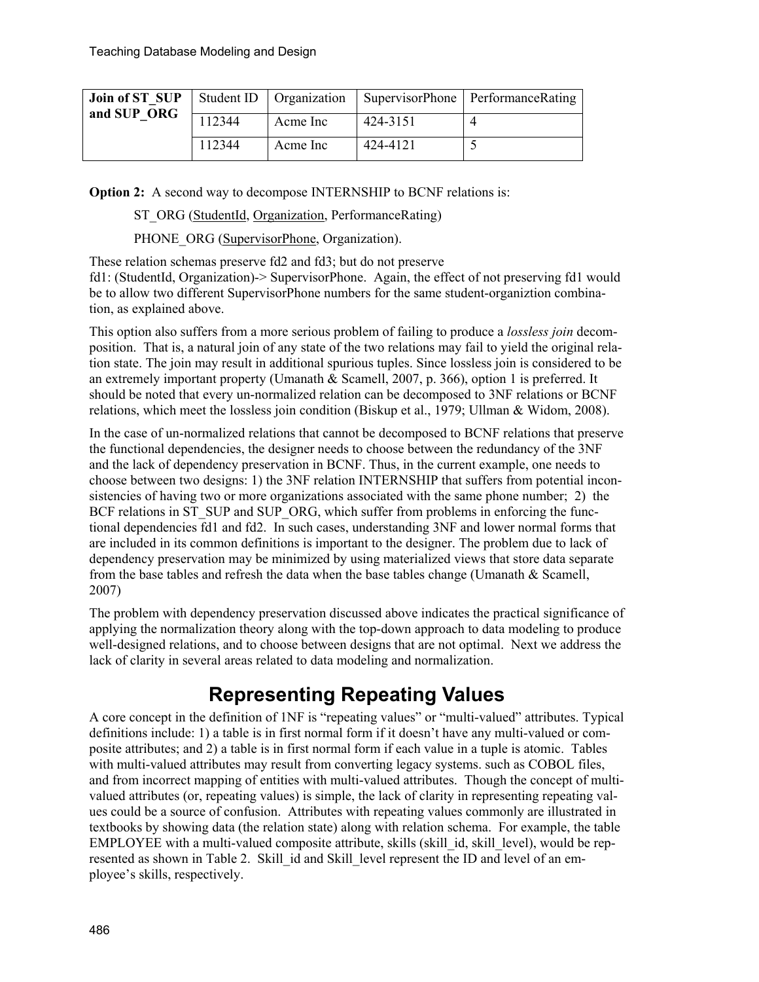| and SUP ORG |        |          |          | <b>Join of ST SUP</b> Student ID   Organization   SupervisorPhone   PerformanceRating |
|-------------|--------|----------|----------|---------------------------------------------------------------------------------------|
|             | 112344 | Acme Inc | 424-3151 |                                                                                       |
|             | 112344 | Acme Inc | 424-4121 |                                                                                       |

**Option 2:** A second way to decompose INTERNSHIP to BCNF relations is:

ST\_ORG (StudentId, Organization, PerformanceRating)

PHONE ORG (SupervisorPhone, Organization).

These relation schemas preserve fd2 and fd3; but do not preserve fd1: (StudentId, Organization)-> SupervisorPhone. Again, the effect of not preserving fd1 would be to allow two different SupervisorPhone numbers for the same student-organiztion combination, as explained above.

This option also suffers from a more serious problem of failing to produce a *lossless join* decomposition. That is, a natural join of any state of the two relations may fail to yield the original relation state. The join may result in additional spurious tuples. Since lossless join is considered to be an extremely important property (Umanath & Scamell, 2007, p. 366), option 1 is preferred. It should be noted that every un-normalized relation can be decomposed to 3NF relations or BCNF relations, which meet the lossless join condition (Biskup et al., 1979; Ullman & Widom, 2008).

In the case of un-normalized relations that cannot be decomposed to BCNF relations that preserve the functional dependencies, the designer needs to choose between the redundancy of the 3NF and the lack of dependency preservation in BCNF. Thus, in the current example, one needs to choose between two designs: 1) the 3NF relation INTERNSHIP that suffers from potential inconsistencies of having two or more organizations associated with the same phone number; 2) the BCF relations in ST\_SUP and SUP\_ORG, which suffer from problems in enforcing the functional dependencies fd1 and fd2. In such cases, understanding 3NF and lower normal forms that are included in its common definitions is important to the designer. The problem due to lack of dependency preservation may be minimized by using materialized views that store data separate from the base tables and refresh the data when the base tables change (Umanath & Scamell, 2007)

The problem with dependency preservation discussed above indicates the practical significance of applying the normalization theory along with the top-down approach to data modeling to produce well-designed relations, and to choose between designs that are not optimal. Next we address the lack of clarity in several areas related to data modeling and normalization.

## **Representing Repeating Values**

A core concept in the definition of 1NF is "repeating values" or "multi-valued" attributes. Typical definitions include: 1) a table is in first normal form if it doesn't have any multi-valued or composite attributes; and 2) a table is in first normal form if each value in a tuple is atomic. Tables with multi-valued attributes may result from converting legacy systems. such as COBOL files, and from incorrect mapping of entities with multi-valued attributes. Though the concept of multivalued attributes (or, repeating values) is simple, the lack of clarity in representing repeating values could be a source of confusion. Attributes with repeating values commonly are illustrated in textbooks by showing data (the relation state) along with relation schema. For example, the table EMPLOYEE with a multi-valued composite attribute, skills (skill id, skill level), would be represented as shown in Table 2. Skill id and Skill level represent the ID and level of an employee's skills, respectively.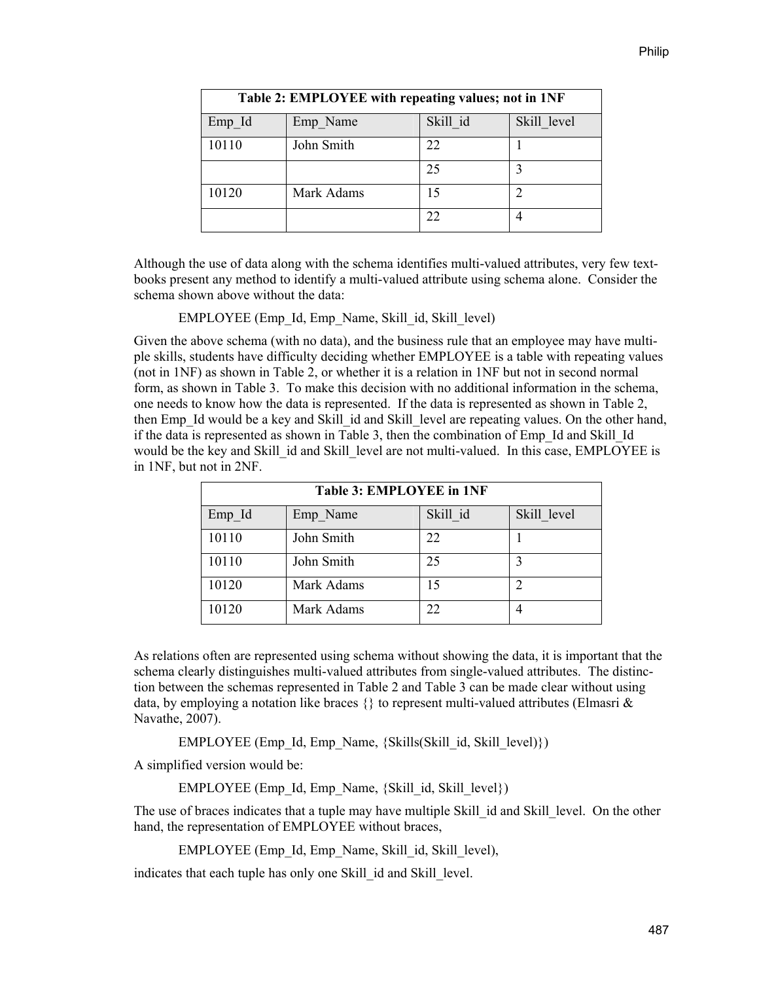| Table 2: EMPLOYEE with repeating values; not in 1NF |            |          |             |  |  |  |
|-----------------------------------------------------|------------|----------|-------------|--|--|--|
| Emp Id                                              | Emp Name   | Skill id | Skill level |  |  |  |
| 10110                                               | John Smith | 22       |             |  |  |  |
|                                                     |            | 25       | 3           |  |  |  |
| 10120                                               | Mark Adams | 15       |             |  |  |  |
|                                                     |            | 22       |             |  |  |  |

Although the use of data along with the schema identifies multi-valued attributes, very few textbooks present any method to identify a multi-valued attribute using schema alone. Consider the schema shown above without the data:

EMPLOYEE (Emp\_Id, Emp\_Name, Skill\_id, Skill\_level)

Given the above schema (with no data), and the business rule that an employee may have multiple skills, students have difficulty deciding whether EMPLOYEE is a table with repeating values (not in 1NF) as shown in Table 2, or whether it is a relation in 1NF but not in second normal form, as shown in Table 3. To make this decision with no additional information in the schema, one needs to know how the data is represented. If the data is represented as shown in Table 2, then Emp\_Id would be a key and Skill\_id and Skill\_level are repeating values. On the other hand, if the data is represented as shown in Table 3, then the combination of Emp\_Id and Skill\_Id would be the key and Skill id and Skill level are not multi-valued. In this case, EMPLOYEE is in 1NF, but not in 2NF.

| <b>Table 3: EMPLOYEE in 1NF</b> |            |          |             |  |  |  |
|---------------------------------|------------|----------|-------------|--|--|--|
| Emp Id                          | Emp Name   | Skill id | Skill level |  |  |  |
| 10110                           | John Smith | 22       |             |  |  |  |
| 10110                           | John Smith | 25       |             |  |  |  |
| 10120                           | Mark Adams | 15       | ∍           |  |  |  |
| 10120                           | Mark Adams | 22       |             |  |  |  |

As relations often are represented using schema without showing the data, it is important that the schema clearly distinguishes multi-valued attributes from single-valued attributes. The distinction between the schemas represented in Table 2 and Table 3 can be made clear without using data, by employing a notation like braces  $\{\}$  to represent multi-valued attributes (Elmasri & Navathe, 2007).

EMPLOYEE (Emp\_Id, Emp\_Name, {Skills(Skill\_id, Skill\_level)})

A simplified version would be:

EMPLOYEE (Emp\_Id, Emp\_Name,  ${Skill}$  id, Skill\_level $\})$ )

The use of braces indicates that a tuple may have multiple Skill id and Skill level. On the other hand, the representation of EMPLOYEE without braces,

EMPLOYEE (Emp\_Id, Emp\_Name, Skill\_id, Skill\_level),

indicates that each tuple has only one Skill id and Skill level.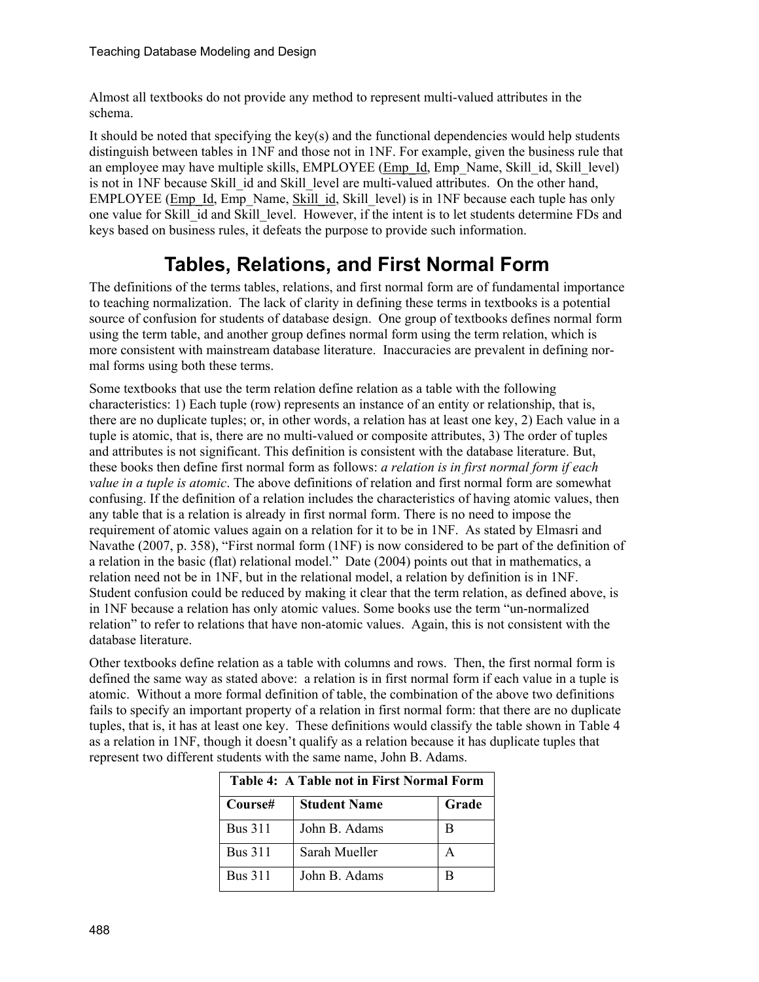Almost all textbooks do not provide any method to represent multi-valued attributes in the schema.

It should be noted that specifying the key(s) and the functional dependencies would help students distinguish between tables in 1NF and those not in 1NF. For example, given the business rule that an employee may have multiple skills, EMPLOYEE (Emp\_Id, Emp\_Name, Skill\_id, Skill\_level) is not in 1NF because Skill id and Skill level are multi-valued attributes. On the other hand, EMPLOYEE (Emp\_Id, Emp\_Name, Skill\_id, Skill\_level) is in 1NF because each tuple has only one value for Skill\_id and Skill\_level. However, if the intent is to let students determine FDs and keys based on business rules, it defeats the purpose to provide such information.

# **Tables, Relations, and First Normal Form**

The definitions of the terms tables, relations, and first normal form are of fundamental importance to teaching normalization. The lack of clarity in defining these terms in textbooks is a potential source of confusion for students of database design. One group of textbooks defines normal form using the term table, and another group defines normal form using the term relation, which is more consistent with mainstream database literature. Inaccuracies are prevalent in defining normal forms using both these terms.

Some textbooks that use the term relation define relation as a table with the following characteristics: 1) Each tuple (row) represents an instance of an entity or relationship, that is, there are no duplicate tuples; or, in other words, a relation has at least one key, 2) Each value in a tuple is atomic, that is, there are no multi-valued or composite attributes, 3) The order of tuples and attributes is not significant. This definition is consistent with the database literature. But, these books then define first normal form as follows: *a relation is in first normal form if each value in a tuple is atomic*. The above definitions of relation and first normal form are somewhat confusing. If the definition of a relation includes the characteristics of having atomic values, then any table that is a relation is already in first normal form. There is no need to impose the requirement of atomic values again on a relation for it to be in 1NF. As stated by Elmasri and Navathe (2007, p. 358), "First normal form (1NF) is now considered to be part of the definition of a relation in the basic (flat) relational model." Date (2004) points out that in mathematics, a relation need not be in 1NF, but in the relational model, a relation by definition is in 1NF. Student confusion could be reduced by making it clear that the term relation, as defined above, is in 1NF because a relation has only atomic values. Some books use the term "un-normalized relation" to refer to relations that have non-atomic values. Again, this is not consistent with the database literature.

Other textbooks define relation as a table with columns and rows. Then, the first normal form is defined the same way as stated above: a relation is in first normal form if each value in a tuple is atomic. Without a more formal definition of table, the combination of the above two definitions fails to specify an important property of a relation in first normal form: that there are no duplicate tuples, that is, it has at least one key. These definitions would classify the table shown in Table 4 as a relation in 1NF, though it doesn't qualify as a relation because it has duplicate tuples that represent two different students with the same name, John B. Adams.

| <b>Table 4: A Table not in First Normal Form</b> |                     |       |  |  |  |
|--------------------------------------------------|---------------------|-------|--|--|--|
| Course#                                          | <b>Student Name</b> | Grade |  |  |  |
| <b>Bus 311</b>                                   | John B. Adams       | В     |  |  |  |
| <b>Bus 311</b>                                   | Sarah Mueller       |       |  |  |  |
| <b>Bus 311</b>                                   | John B. Adams       | в     |  |  |  |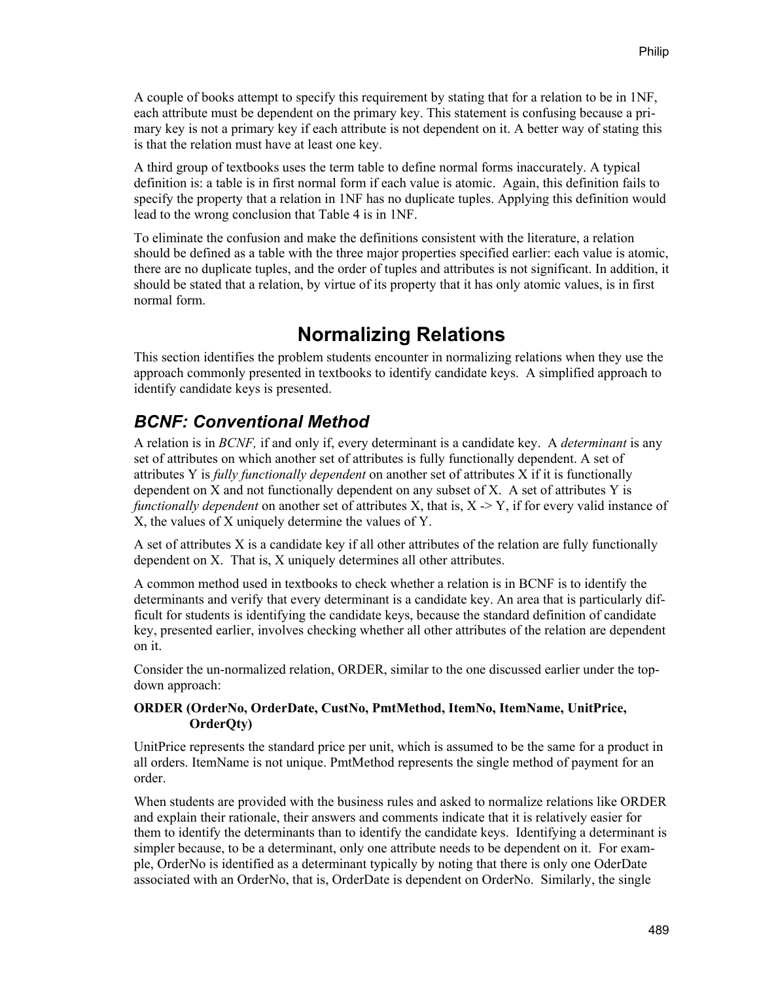A couple of books attempt to specify this requirement by stating that for a relation to be in 1NF, each attribute must be dependent on the primary key. This statement is confusing because a primary key is not a primary key if each attribute is not dependent on it. A better way of stating this is that the relation must have at least one key.

A third group of textbooks uses the term table to define normal forms inaccurately. A typical definition is: a table is in first normal form if each value is atomic. Again, this definition fails to specify the property that a relation in 1NF has no duplicate tuples. Applying this definition would lead to the wrong conclusion that Table 4 is in 1NF.

To eliminate the confusion and make the definitions consistent with the literature, a relation should be defined as a table with the three major properties specified earlier: each value is atomic, there are no duplicate tuples, and the order of tuples and attributes is not significant. In addition, it should be stated that a relation, by virtue of its property that it has only atomic values, is in first normal form.

## **Normalizing Relations**

This section identifies the problem students encounter in normalizing relations when they use the approach commonly presented in textbooks to identify candidate keys. A simplified approach to identify candidate keys is presented.

### *BCNF: Conventional Method*

A relation is in *BCNF,* if and only if, every determinant is a candidate key. A *determinant* is any set of attributes on which another set of attributes is fully functionally dependent. A set of attributes Y is *fully functionally dependent* on another set of attributes X if it is functionally dependent on X and not functionally dependent on any subset of X. A set of attributes Y is *functionally dependent* on another set of attributes X, that is, X  $\rightarrow$  Y, if for every valid instance of X, the values of X uniquely determine the values of Y.

A set of attributes X is a candidate key if all other attributes of the relation are fully functionally dependent on X. That is, X uniquely determines all other attributes.

A common method used in textbooks to check whether a relation is in BCNF is to identify the determinants and verify that every determinant is a candidate key. An area that is particularly difficult for students is identifying the candidate keys, because the standard definition of candidate key, presented earlier, involves checking whether all other attributes of the relation are dependent on it.

Consider the un-normalized relation, ORDER, similar to the one discussed earlier under the topdown approach:

#### **ORDER (OrderNo, OrderDate, CustNo, PmtMethod, ItemNo, ItemName, UnitPrice, OrderQty)**

UnitPrice represents the standard price per unit, which is assumed to be the same for a product in all orders. ItemName is not unique. PmtMethod represents the single method of payment for an order.

When students are provided with the business rules and asked to normalize relations like ORDER and explain their rationale, their answers and comments indicate that it is relatively easier for them to identify the determinants than to identify the candidate keys. Identifying a determinant is simpler because, to be a determinant, only one attribute needs to be dependent on it. For example, OrderNo is identified as a determinant typically by noting that there is only one OderDate associated with an OrderNo, that is, OrderDate is dependent on OrderNo. Similarly, the single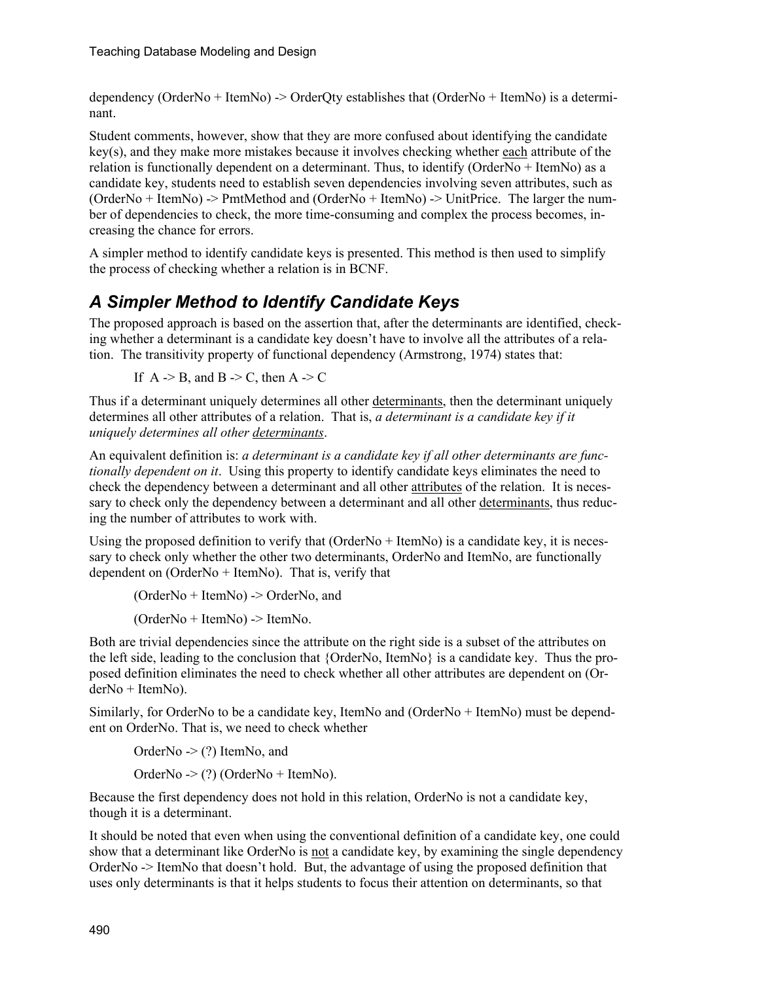dependency (OrderNo + ItemNo) -> OrderQty establishes that (OrderNo + ItemNo) is a determinant.

Student comments, however, show that they are more confused about identifying the candidate key(s), and they make more mistakes because it involves checking whether each attribute of the relation is functionally dependent on a determinant. Thus, to identify (OrderNo + ItemNo) as a candidate key, students need to establish seven dependencies involving seven attributes, such as (OrderNo + ItemNo) -> PmtMethod and (OrderNo + ItemNo) -> UnitPrice. The larger the number of dependencies to check, the more time-consuming and complex the process becomes, increasing the chance for errors.

A simpler method to identify candidate keys is presented. This method is then used to simplify the process of checking whether a relation is in BCNF.

### *A Simpler Method to Identify Candidate Keys*

The proposed approach is based on the assertion that, after the determinants are identified, checking whether a determinant is a candidate key doesn't have to involve all the attributes of a relation. The transitivity property of functional dependency (Armstrong, 1974) states that:

If  $A \rightarrow B$ , and  $B \rightarrow C$ , then  $A \rightarrow C$ 

Thus if a determinant uniquely determines all other determinants, then the determinant uniquely determines all other attributes of a relation. That is, *a determinant is a candidate key if it uniquely determines all other determinants*.

An equivalent definition is: *a determinant is a candidate key if all other determinants are functionally dependent on it*. Using this property to identify candidate keys eliminates the need to check the dependency between a determinant and all other attributes of the relation. It is necessary to check only the dependency between a determinant and all other determinants, thus reducing the number of attributes to work with.

Using the proposed definition to verify that (OrderNo + ItemNo) is a candidate key, it is necessary to check only whether the other two determinants, OrderNo and ItemNo, are functionally dependent on (OrderNo + ItemNo). That is, verify that

(OrderNo + ItemNo) -> OrderNo, and

(OrderNo + ItemNo) -> ItemNo.

Both are trivial dependencies since the attribute on the right side is a subset of the attributes on the left side, leading to the conclusion that {OrderNo, ItemNo} is a candidate key. Thus the proposed definition eliminates the need to check whether all other attributes are dependent on (OrderNo + ItemNo).

Similarly, for OrderNo to be a candidate key, ItemNo and (OrderNo + ItemNo) must be dependent on OrderNo. That is, we need to check whether

OrderNo -> (?) ItemNo, and

OrderNo -> (?) (OrderNo + ItemNo).

Because the first dependency does not hold in this relation, OrderNo is not a candidate key, though it is a determinant.

It should be noted that even when using the conventional definition of a candidate key, one could show that a determinant like OrderNo is not a candidate key, by examining the single dependency OrderNo -> ItemNo that doesn't hold. But, the advantage of using the proposed definition that uses only determinants is that it helps students to focus their attention on determinants, so that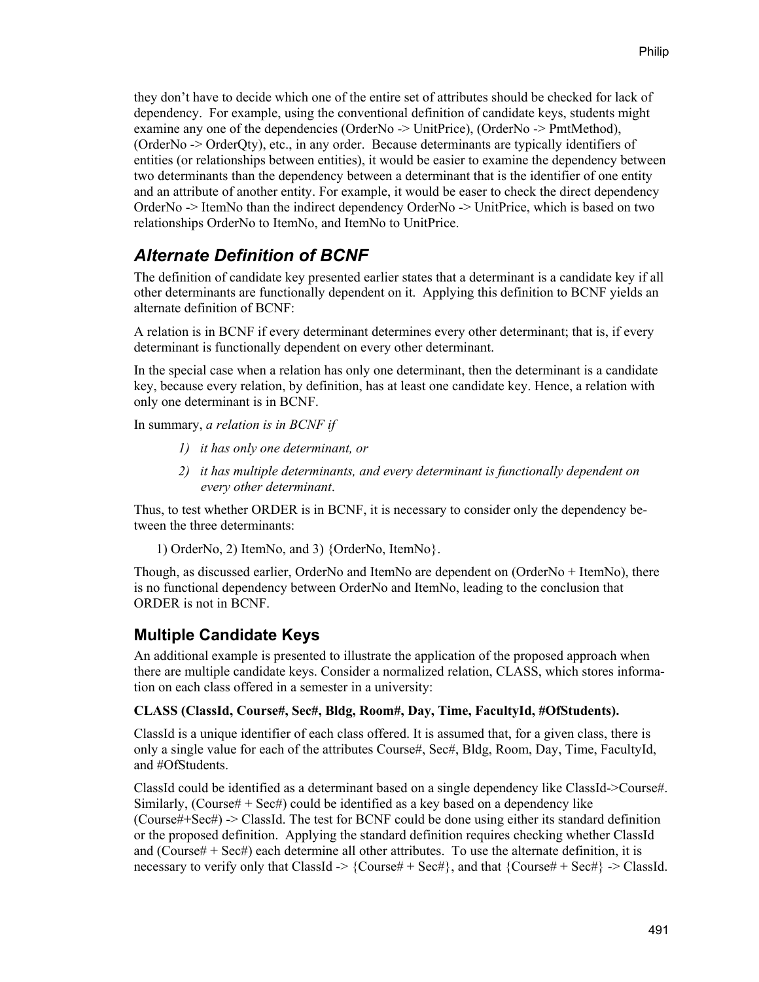they don't have to decide which one of the entire set of attributes should be checked for lack of dependency. For example, using the conventional definition of candidate keys, students might examine any one of the dependencies (OrderNo -> UnitPrice), (OrderNo -> PmtMethod), (OrderNo -> OrderQty), etc., in any order. Because determinants are typically identifiers of entities (or relationships between entities), it would be easier to examine the dependency between two determinants than the dependency between a determinant that is the identifier of one entity and an attribute of another entity. For example, it would be easer to check the direct dependency OrderNo -> ItemNo than the indirect dependency OrderNo -> UnitPrice, which is based on two relationships OrderNo to ItemNo, and ItemNo to UnitPrice.

#### *Alternate Definition of BCNF*

The definition of candidate key presented earlier states that a determinant is a candidate key if all other determinants are functionally dependent on it. Applying this definition to BCNF yields an alternate definition of BCNF:

A relation is in BCNF if every determinant determines every other determinant; that is, if every determinant is functionally dependent on every other determinant.

In the special case when a relation has only one determinant, then the determinant is a candidate key, because every relation, by definition, has at least one candidate key. Hence, a relation with only one determinant is in BCNF.

In summary, *a relation is in BCNF if* 

- *1) it has only one determinant, or*
- *2) it has multiple determinants, and every determinant is functionally dependent on every other determinant*.

Thus, to test whether ORDER is in BCNF, it is necessary to consider only the dependency between the three determinants:

1) OrderNo, 2) ItemNo, and 3) {OrderNo, ItemNo}.

Though, as discussed earlier, OrderNo and ItemNo are dependent on (OrderNo + ItemNo), there is no functional dependency between OrderNo and ItemNo, leading to the conclusion that ORDER is not in BCNF.

#### **Multiple Candidate Keys**

An additional example is presented to illustrate the application of the proposed approach when there are multiple candidate keys. Consider a normalized relation, CLASS, which stores information on each class offered in a semester in a university:

#### **CLASS (ClassId, Course#, Sec#, Bldg, Room#, Day, Time, FacultyId, #OfStudents).**

ClassId is a unique identifier of each class offered. It is assumed that, for a given class, there is only a single value for each of the attributes Course#, Sec#, Bldg, Room, Day, Time, FacultyId, and #OfStudents.

ClassId could be identified as a determinant based on a single dependency like ClassId->Course#. Similarly, (Course#  $+$  Sec#) could be identified as a key based on a dependency like (Course#+Sec#) -> ClassId. The test for BCNF could be done using either its standard definition or the proposed definition. Applying the standard definition requires checking whether ClassId and (Course#  $+$  Sec#) each determine all other attributes. To use the alternate definition, it is necessary to verify only that ClassId  $\geq \{Course\# + Sect\}$ , and that  $\{Course\# + Sect\} \geq ClassId$ .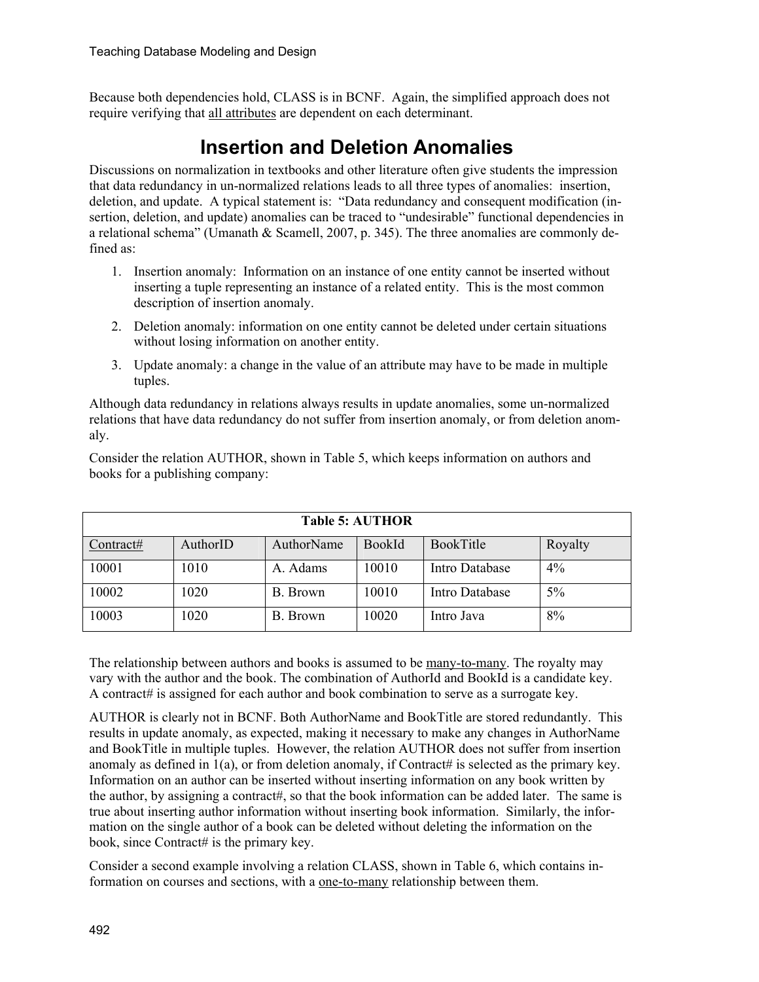Because both dependencies hold, CLASS is in BCNF. Again, the simplified approach does not require verifying that all attributes are dependent on each determinant.

# **Insertion and Deletion Anomalies**

Discussions on normalization in textbooks and other literature often give students the impression that data redundancy in un-normalized relations leads to all three types of anomalies: insertion, deletion, and update. A typical statement is: "Data redundancy and consequent modification (insertion, deletion, and update) anomalies can be traced to "undesirable" functional dependencies in a relational schema" (Umanath & Scamell, 2007, p. 345). The three anomalies are commonly defined as:

- 1. Insertion anomaly: Information on an instance of one entity cannot be inserted without inserting a tuple representing an instance of a related entity. This is the most common description of insertion anomaly.
- 2. Deletion anomaly: information on one entity cannot be deleted under certain situations without losing information on another entity.
- 3. Update anomaly: a change in the value of an attribute may have to be made in multiple tuples.

Although data redundancy in relations always results in update anomalies, some un-normalized relations that have data redundancy do not suffer from insertion anomaly, or from deletion anomaly.

| Consider the relation AUTHOR, shown in Table 5, which keeps information on authors and |  |  |
|----------------------------------------------------------------------------------------|--|--|
| books for a publishing company:                                                        |  |  |

| <b>Table 5: AUTHOR</b> |          |            |               |                       |         |  |
|------------------------|----------|------------|---------------|-----------------------|---------|--|
| Contract#              | AuthorID | AuthorName | <b>BookId</b> | BookTitle             | Royalty |  |
| 10001                  | 1010     | A. Adams   | 10010         | <b>Intro Database</b> | $4\%$   |  |
| 10002                  | 1020     | B. Brown   | 10010         | Intro Database        | 5%      |  |
| 10003                  | 1020     | B. Brown   | 10020         | Intro Java            | 8%      |  |

The relationship between authors and books is assumed to be many-to-many. The royalty may vary with the author and the book. The combination of AuthorId and BookId is a candidate key. A contract# is assigned for each author and book combination to serve as a surrogate key.

AUTHOR is clearly not in BCNF. Both AuthorName and BookTitle are stored redundantly. This results in update anomaly, as expected, making it necessary to make any changes in AuthorName and BookTitle in multiple tuples. However, the relation AUTHOR does not suffer from insertion anomaly as defined in  $1(a)$ , or from deletion anomaly, if Contract# is selected as the primary key. Information on an author can be inserted without inserting information on any book written by the author, by assigning a contract#, so that the book information can be added later. The same is true about inserting author information without inserting book information. Similarly, the information on the single author of a book can be deleted without deleting the information on the book, since Contract# is the primary key.

Consider a second example involving a relation CLASS, shown in Table 6, which contains information on courses and sections, with a one-to-many relationship between them.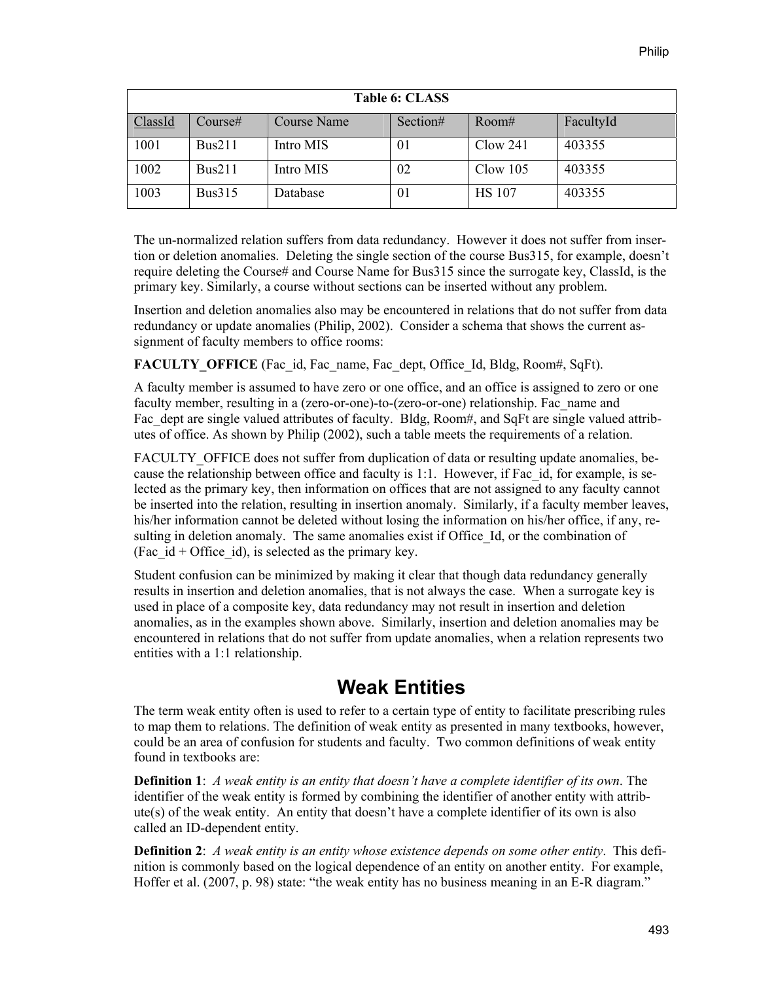| Table 6: CLASS |               |                    |          |               |           |  |  |
|----------------|---------------|--------------------|----------|---------------|-----------|--|--|
| <b>ClassId</b> | Course#       | <b>Course Name</b> | Section# | Room#         | FacultyId |  |  |
| 1001           | Bus211        | Intro MIS          | 01       | Clow 241      | 403355    |  |  |
| 1002           | Bus211        | Intro MIS          | 02       | $C$ low 105   | 403355    |  |  |
| 1003           | <b>Bus315</b> | Database           | 01       | <b>HS</b> 107 | 403355    |  |  |

The un-normalized relation suffers from data redundancy. However it does not suffer from insertion or deletion anomalies. Deleting the single section of the course Bus315, for example, doesn't require deleting the Course# and Course Name for Bus315 since the surrogate key, ClassId, is the primary key. Similarly, a course without sections can be inserted without any problem.

Insertion and deletion anomalies also may be encountered in relations that do not suffer from data redundancy or update anomalies (Philip, 2002). Consider a schema that shows the current assignment of faculty members to office rooms:

**FACULTY OFFICE** (Fac id, Fac name, Fac dept, Office Id, Bldg, Room#, SqFt).

A faculty member is assumed to have zero or one office, and an office is assigned to zero or one faculty member, resulting in a (zero-or-one)-to-(zero-or-one) relationship. Fac\_name and Fac dept are single valued attributes of faculty. Bldg, Room#, and SqFt are single valued attributes of office. As shown by Philip (2002), such a table meets the requirements of a relation.

FACULTY OFFICE does not suffer from duplication of data or resulting update anomalies, because the relationship between office and faculty is 1:1. However, if Fac\_id, for example, is selected as the primary key, then information on offices that are not assigned to any faculty cannot be inserted into the relation, resulting in insertion anomaly. Similarly, if a faculty member leaves, his/her information cannot be deleted without losing the information on his/her office, if any, resulting in deletion anomaly. The same anomalies exist if Office Id, or the combination of (Fac  $id$  + Office  $id$ ), is selected as the primary key.

Student confusion can be minimized by making it clear that though data redundancy generally results in insertion and deletion anomalies, that is not always the case. When a surrogate key is used in place of a composite key, data redundancy may not result in insertion and deletion anomalies, as in the examples shown above. Similarly, insertion and deletion anomalies may be encountered in relations that do not suffer from update anomalies, when a relation represents two entities with a 1:1 relationship.

## **Weak Entities**

The term weak entity often is used to refer to a certain type of entity to facilitate prescribing rules to map them to relations. The definition of weak entity as presented in many textbooks, however, could be an area of confusion for students and faculty. Two common definitions of weak entity found in textbooks are:

**Definition 1**: *A weak entity is an entity that doesn't have a complete identifier of its own*. The identifier of the weak entity is formed by combining the identifier of another entity with attribute(s) of the weak entity. An entity that doesn't have a complete identifier of its own is also called an ID-dependent entity.

**Definition 2**: *A weak entity is an entity whose existence depends on some other entity*. This definition is commonly based on the logical dependence of an entity on another entity. For example, Hoffer et al. (2007, p. 98) state: "the weak entity has no business meaning in an E-R diagram."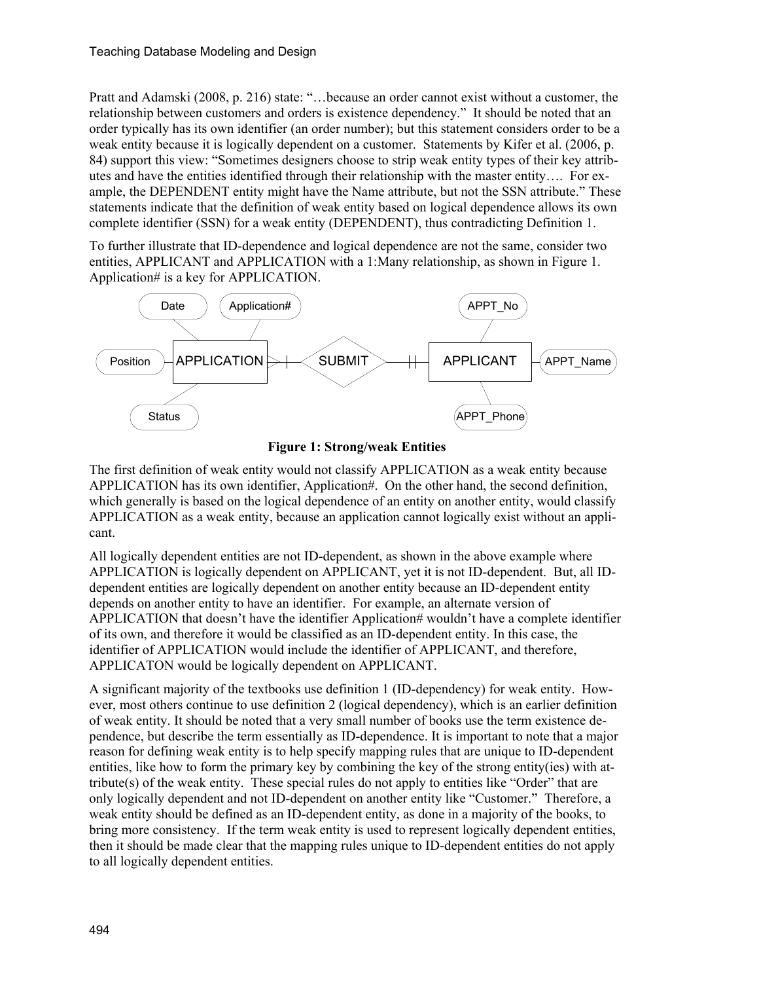Pratt and Adamski (2008, p. 216) state: "…because an order cannot exist without a customer, the relationship between customers and orders is existence dependency." It should be noted that an order typically has its own identifier (an order number); but this statement considers order to be a weak entity because it is logically dependent on a customer. Statements by Kifer et al. (2006, p. 84) support this view: "Sometimes designers choose to strip weak entity types of their key attributes and have the entities identified through their relationship with the master entity…. For example, the DEPENDENT entity might have the Name attribute, but not the SSN attribute." These statements indicate that the definition of weak entity based on logical dependence allows its own complete identifier (SSN) for a weak entity (DEPENDENT), thus contradicting Definition 1.

To further illustrate that ID-dependence and logical dependence are not the same, consider two entities, APPLICANT and APPLICATION with a 1:Many relationship, as shown in Figure 1. Application# is a key for APPLICATION.





The first definition of weak entity would not classify APPLICATION as a weak entity because APPLICATION has its own identifier, Application#. On the other hand, the second definition, which generally is based on the logical dependence of an entity on another entity, would classify APPLICATION as a weak entity, because an application cannot logically exist without an applicant.

All logically dependent entities are not ID-dependent, as shown in the above example where APPLICATION is logically dependent on APPLICANT, yet it is not ID-dependent. But, all IDdependent entities are logically dependent on another entity because an ID-dependent entity depends on another entity to have an identifier. For example, an alternate version of APPLICATION that doesn't have the identifier Application# wouldn't have a complete identifier of its own, and therefore it would be classified as an ID-dependent entity. In this case, the identifier of APPLICATION would include the identifier of APPLICANT, and therefore, APPLICATON would be logically dependent on APPLICANT.

A significant majority of the textbooks use definition 1 (ID-dependency) for weak entity. However, most others continue to use definition 2 (logical dependency), which is an earlier definition of weak entity. It should be noted that a very small number of books use the term existence dependence, but describe the term essentially as ID-dependence. It is important to note that a major reason for defining weak entity is to help specify mapping rules that are unique to ID-dependent entities, like how to form the primary key by combining the key of the strong entity(ies) with attribute(s) of the weak entity. These special rules do not apply to entities like "Order" that are only logically dependent and not ID-dependent on another entity like "Customer." Therefore, a weak entity should be defined as an ID-dependent entity, as done in a majority of the books, to bring more consistency. If the term weak entity is used to represent logically dependent entities, then it should be made clear that the mapping rules unique to ID-dependent entities do not apply to all logically dependent entities.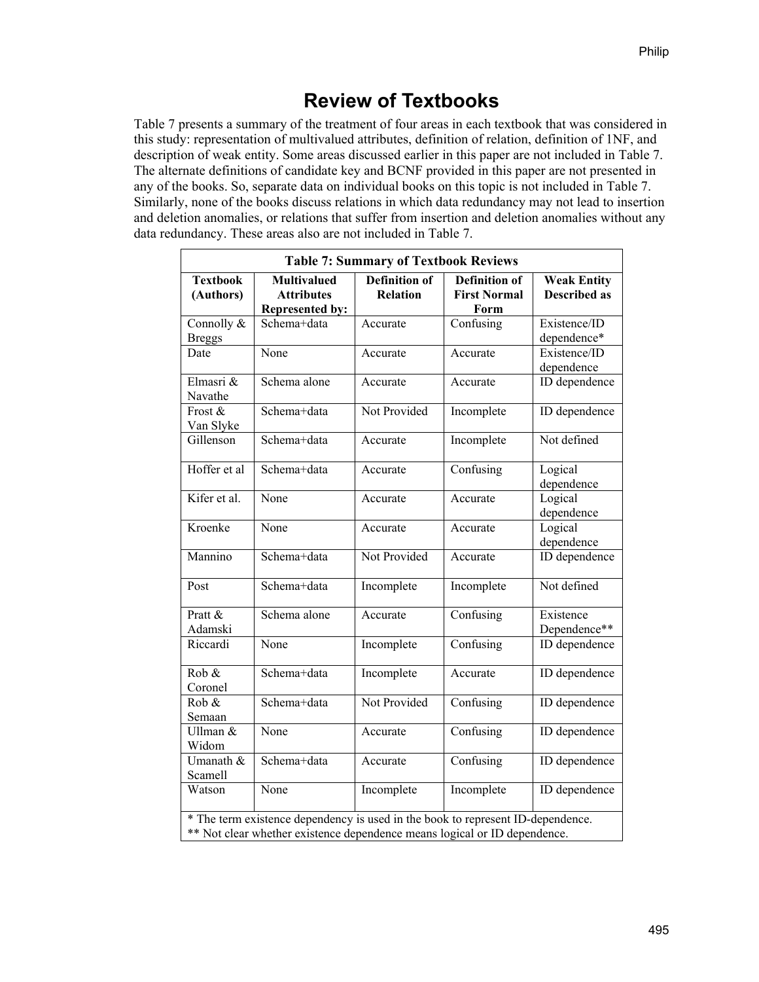## **Review of Textbooks**

Table 7 presents a summary of the treatment of four areas in each textbook that was considered in this study: representation of multivalued attributes, definition of relation, definition of 1NF, and description of weak entity. Some areas discussed earlier in this paper are not included in Table 7. The alternate definitions of candidate key and BCNF provided in this paper are not presented in any of the books. So, separate data on individual books on this topic is not included in Table 7. Similarly, none of the books discuss relations in which data redundancy may not lead to insertion and deletion anomalies, or relations that suffer from insertion and deletion anomalies without any data redundancy. These areas also are not included in Table 7.

| <b>Table 7: Summary of Textbook Reviews</b> |                                                                                                                                                              |                                         |                                                     |                                           |  |  |  |
|---------------------------------------------|--------------------------------------------------------------------------------------------------------------------------------------------------------------|-----------------------------------------|-----------------------------------------------------|-------------------------------------------|--|--|--|
| <b>Textbook</b><br>(Authors)                | <b>Multivalued</b><br><b>Attributes</b><br><b>Represented by:</b>                                                                                            | <b>Definition of</b><br><b>Relation</b> | <b>Definition of</b><br><b>First Normal</b><br>Form | <b>Weak Entity</b><br><b>Described as</b> |  |  |  |
| Connolly &<br><b>Breggs</b>                 | Schema+data                                                                                                                                                  | Accurate                                | Confusing                                           | Existence/ID<br>dependence*               |  |  |  |
| Date                                        | None                                                                                                                                                         | Accurate                                | Accurate                                            | Existence/ID<br>dependence                |  |  |  |
| Elmasri &<br>Navathe                        | Schema alone                                                                                                                                                 | Accurate                                | Accurate                                            | <b>ID</b> dependence                      |  |  |  |
| Frost &<br>Van Slyke                        | Schema+data                                                                                                                                                  | Not Provided                            | Incomplete                                          | <b>ID</b> dependence                      |  |  |  |
| Gillenson                                   | Schema+data                                                                                                                                                  | Accurate                                | Incomplete                                          | Not defined                               |  |  |  |
| Hoffer et al                                | Schema+data                                                                                                                                                  | Accurate                                | Confusing                                           | Logical<br>dependence                     |  |  |  |
| Kifer et al.                                | None                                                                                                                                                         | Accurate                                | Accurate                                            | Logical<br>dependence                     |  |  |  |
| Kroenke                                     | None                                                                                                                                                         | Accurate                                | Accurate                                            | Logical<br>dependence                     |  |  |  |
| Mannino                                     | Schema+data                                                                                                                                                  | Not Provided                            | Accurate                                            | <b>ID</b> dependence                      |  |  |  |
| Post                                        | Schema+data                                                                                                                                                  | Incomplete                              | Incomplete                                          | Not defined                               |  |  |  |
| Pratt &<br>Adamski                          | Schema alone                                                                                                                                                 | Accurate                                | Confusing                                           | Existence<br>Dependence**                 |  |  |  |
| Riccardi                                    | None                                                                                                                                                         | Incomplete                              | Confusing                                           | <b>ID</b> dependence                      |  |  |  |
| Rob &<br>Coronel                            | Schema+data                                                                                                                                                  | Incomplete                              | Accurate                                            | <b>ID</b> dependence                      |  |  |  |
| Rob &<br>Semaan                             | Schema+data                                                                                                                                                  | Not Provided                            | Confusing                                           | ID dependence                             |  |  |  |
| Ullman &<br>Widom                           | None                                                                                                                                                         | Accurate                                | Confusing                                           | ID dependence                             |  |  |  |
| Umanath &<br>Scamell                        | Schema+data                                                                                                                                                  | Accurate                                | Confusing                                           | ID dependence                             |  |  |  |
| Watson                                      | None                                                                                                                                                         | Incomplete                              | Incomplete                                          | ID dependence                             |  |  |  |
|                                             | * The term existence dependency is used in the book to represent ID-dependence.<br>** Not clear whether existence dependence means logical or ID dependence. |                                         |                                                     |                                           |  |  |  |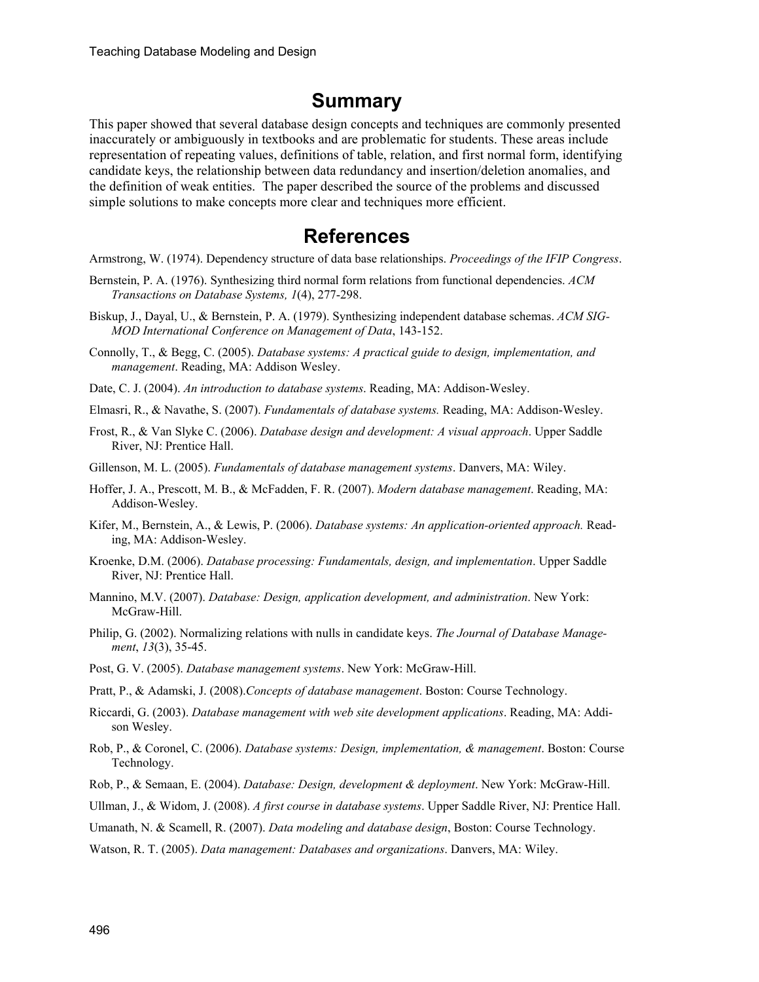#### **Summary**

This paper showed that several database design concepts and techniques are commonly presented inaccurately or ambiguously in textbooks and are problematic for students. These areas include representation of repeating values, definitions of table, relation, and first normal form, identifying candidate keys, the relationship between data redundancy and insertion/deletion anomalies, and the definition of weak entities. The paper described the source of the problems and discussed simple solutions to make concepts more clear and techniques more efficient.

#### **References**

Armstrong, W. (1974). Dependency structure of data base relationships. *Proceedings of the IFIP Congress*.

- Bernstein, P. A. (1976). Synthesizing third normal form relations from functional dependencies. *ACM Transactions on Database Systems, 1*(4), 277-298.
- Biskup, J., Dayal, U., & Bernstein, P. A. (1979). Synthesizing independent database schemas. *ACM SIG-MOD International Conference on Management of Data*, 143-152.
- Connolly, T., & Begg, C. (2005). *Database systems: A practical guide to design, implementation, and management*. Reading, MA: Addison Wesley.

Date, C. J. (2004). *An introduction to database systems*. Reading, MA: Addison-Wesley.

- Elmasri, R., & Navathe, S. (2007). *Fundamentals of database systems.* Reading, MA: Addison-Wesley.
- Frost, R., & Van Slyke C. (2006). *Database design and development: A visual approach*. Upper Saddle River, NJ: Prentice Hall.
- Gillenson, M. L. (2005). *Fundamentals of database management systems*. Danvers, MA: Wiley.
- Hoffer, J. A., Prescott, M. B., & McFadden, F. R. (2007). *Modern database management*. Reading, MA: Addison-Wesley.
- Kifer, M., Bernstein, A., & Lewis, P. (2006). *Database systems: An application-oriented approach.* Reading, MA: Addison-Wesley.
- Kroenke, D.M. (2006). *Database processing: Fundamentals, design, and implementation*. Upper Saddle River, NJ: Prentice Hall.
- Mannino, M.V. (2007). *Database: Design, application development, and administration*. New York: McGraw-Hill.
- Philip, G. (2002). Normalizing relations with nulls in candidate keys. *The Journal of Database Management*, *13*(3), 35-45.
- Post, G. V. (2005). *Database management systems*. New York: McGraw-Hill.
- Pratt, P., & Adamski, J. (2008).*Concepts of database management*. Boston: Course Technology.
- Riccardi, G. (2003). *Database management with web site development applications*. Reading, MA: Addison Wesley.
- Rob, P., & Coronel, C. (2006). *Database systems: Design, implementation, & management*. Boston: Course Technology.
- Rob, P., & Semaan, E. (2004). *Database: Design, development & deployment*. New York: McGraw-Hill.
- Ullman, J., & Widom, J. (2008). *A first course in database systems*. Upper Saddle River, NJ: Prentice Hall.
- Umanath, N. & Scamell, R. (2007). *Data modeling and database design*, Boston: Course Technology.
- Watson, R. T. (2005). *Data management: Databases and organizations*. Danvers, MA: Wiley.